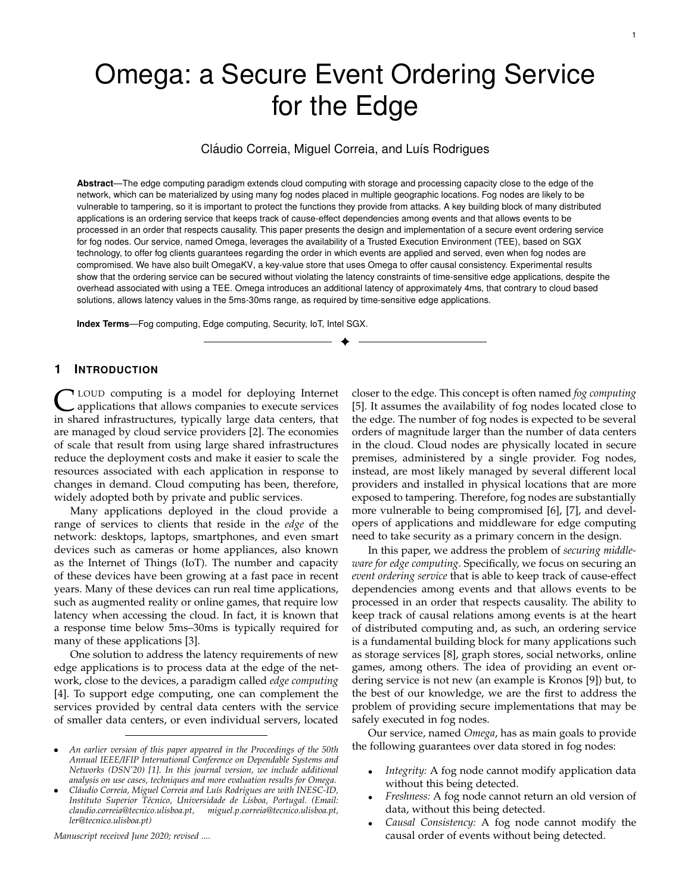# Omega: a Secure Event Ordering Service for the Edge

# Cláudio Correia, Miguel Correia, and Luís Rodrigues

**Abstract**—The edge computing paradigm extends cloud computing with storage and processing capacity close to the edge of the network, which can be materialized by using many fog nodes placed in multiple geographic locations. Fog nodes are likely to be vulnerable to tampering, so it is important to protect the functions they provide from attacks. A key building block of many distributed applications is an ordering service that keeps track of cause-effect dependencies among events and that allows events to be processed in an order that respects causality. This paper presents the design and implementation of a secure event ordering service for fog nodes. Our service, named Omega, leverages the availability of a Trusted Execution Environment (TEE), based on SGX technology, to offer fog clients guarantees regarding the order in which events are applied and served, even when fog nodes are compromised. We have also built OmegaKV, a key-value store that uses Omega to offer causal consistency. Experimental results show that the ordering service can be secured without violating the latency constraints of time-sensitive edge applications, despite the overhead associated with using a TEE. Omega introduces an additional latency of approximately 4ms, that contrary to cloud based solutions, allows latency values in the 5ms-30ms range, as required by time-sensitive edge applications.

✦

**Index Terms**—Fog computing, Edge computing, Security, IoT, Intel SGX.

## **1 INTRODUCTION**

C LOUD computing is a model for deploying Internet applications that allows companies to execute services in shared infrastructures, typically large data centers, that LOUD computing is a model for deploying Internet applications that allows companies to execute services are managed by cloud service providers [2]. The economies of scale that result from using large shared infrastructures reduce the deployment costs and make it easier to scale the resources associated with each application in response to changes in demand. Cloud computing has been, therefore, widely adopted both by private and public services.

Many applications deployed in the cloud provide a range of services to clients that reside in the *edge* of the network: desktops, laptops, smartphones, and even smart devices such as cameras or home appliances, also known as the Internet of Things (IoT). The number and capacity of these devices have been growing at a fast pace in recent years. Many of these devices can run real time applications, such as augmented reality or online games, that require low latency when accessing the cloud. In fact, it is known that a response time below 5ms–30ms is typically required for many of these applications [3].

One solution to address the latency requirements of new edge applications is to process data at the edge of the network, close to the devices, a paradigm called *edge computing* [4]. To support edge computing, one can complement the services provided by central data centers with the service of smaller data centers, or even individual servers, located

*Manuscript received June 2020; revised ....*

closer to the edge. This concept is often named *fog computing* [5]. It assumes the availability of fog nodes located close to the edge. The number of fog nodes is expected to be several orders of magnitude larger than the number of data centers in the cloud. Cloud nodes are physically located in secure premises, administered by a single provider. Fog nodes, instead, are most likely managed by several different local providers and installed in physical locations that are more exposed to tampering. Therefore, fog nodes are substantially more vulnerable to being compromised [6], [7], and developers of applications and middleware for edge computing need to take security as a primary concern in the design.

In this paper, we address the problem of *securing middleware for edge computing*. Specifically, we focus on securing an *event ordering service* that is able to keep track of cause-effect dependencies among events and that allows events to be processed in an order that respects causality. The ability to keep track of causal relations among events is at the heart of distributed computing and, as such, an ordering service is a fundamental building block for many applications such as storage services [8], graph stores, social networks, online games, among others. The idea of providing an event ordering service is not new (an example is Kronos [9]) but, to the best of our knowledge, we are the first to address the problem of providing secure implementations that may be safely executed in fog nodes.

Our service, named *Omega*, has as main goals to provide the following guarantees over data stored in fog nodes:

- *Integrity:* A fog node cannot modify application data without this being detected.
- *Freshness:* A fog node cannot return an old version of data, without this being detected.
- *Causal Consistency:* A fog node cannot modify the causal order of events without being detected.

<sup>•</sup> *An earlier version of this paper appeared in the Proceedings of the 50th Annual IEEE/IFIP International Conference on Dependable Systems and Networks (DSN'20) [1]. In this journal version, we include additional analysis on use cases, techniques and more evaluation results for Omega.*

<sup>•</sup> *Cl´audio Correia, Miguel Correia and Lu´ıs Rodrigues are with INESC-ID, Instituto Superior T´ecnico, Universidade de Lisboa, Portugal. (Email: claudio.correia@tecnico.ulisboa.pt, miguel.p.correia@tecnico.ulisboa.pt, ler@tecnico.ulisboa.pt)*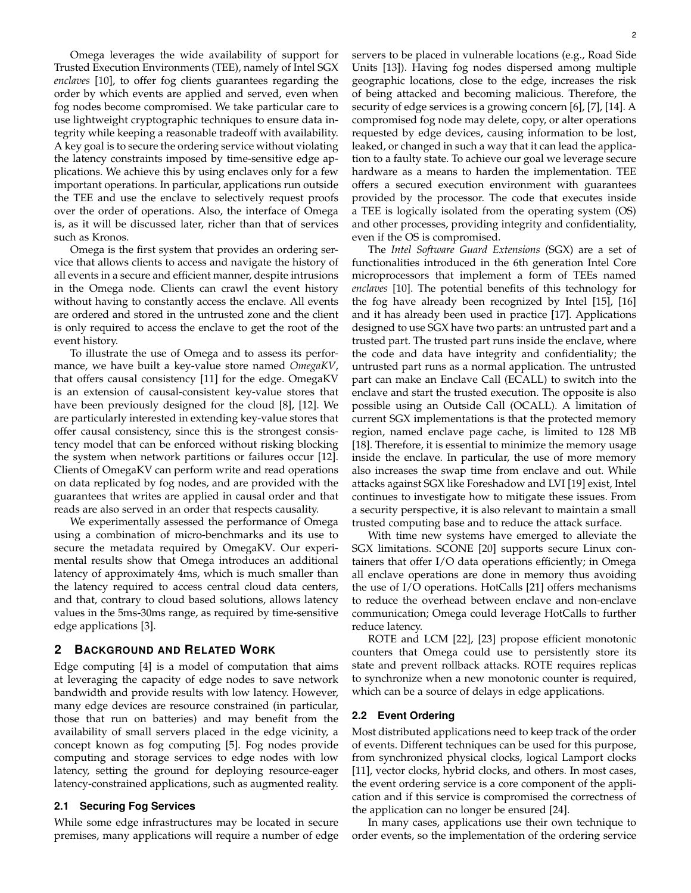Omega leverages the wide availability of support for Trusted Execution Environments (TEE), namely of Intel SGX *enclaves* [10], to offer fog clients guarantees regarding the order by which events are applied and served, even when fog nodes become compromised. We take particular care to use lightweight cryptographic techniques to ensure data integrity while keeping a reasonable tradeoff with availability. A key goal is to secure the ordering service without violating the latency constraints imposed by time-sensitive edge applications. We achieve this by using enclaves only for a few important operations. In particular, applications run outside the TEE and use the enclave to selectively request proofs over the order of operations. Also, the interface of Omega is, as it will be discussed later, richer than that of services such as Kronos.

Omega is the first system that provides an ordering service that allows clients to access and navigate the history of all events in a secure and efficient manner, despite intrusions in the Omega node. Clients can crawl the event history without having to constantly access the enclave. All events are ordered and stored in the untrusted zone and the client is only required to access the enclave to get the root of the event history.

To illustrate the use of Omega and to assess its performance, we have built a key-value store named *OmegaKV*, that offers causal consistency [11] for the edge. OmegaKV is an extension of causal-consistent key-value stores that have been previously designed for the cloud [8], [12]. We are particularly interested in extending key-value stores that offer causal consistency, since this is the strongest consistency model that can be enforced without risking blocking the system when network partitions or failures occur [12]. Clients of OmegaKV can perform write and read operations on data replicated by fog nodes, and are provided with the guarantees that writes are applied in causal order and that reads are also served in an order that respects causality.

We experimentally assessed the performance of Omega using a combination of micro-benchmarks and its use to secure the metadata required by OmegaKV. Our experimental results show that Omega introduces an additional latency of approximately 4ms, which is much smaller than the latency required to access central cloud data centers, and that, contrary to cloud based solutions, allows latency values in the 5ms-30ms range, as required by time-sensitive edge applications [3].

# **2 BACKGROUND AND RELATED WORK**

Edge computing [4] is a model of computation that aims at leveraging the capacity of edge nodes to save network bandwidth and provide results with low latency. However, many edge devices are resource constrained (in particular, those that run on batteries) and may benefit from the availability of small servers placed in the edge vicinity, a concept known as fog computing [5]. Fog nodes provide computing and storage services to edge nodes with low latency, setting the ground for deploying resource-eager latency-constrained applications, such as augmented reality.

# **2.1 Securing Fog Services**

While some edge infrastructures may be located in secure premises, many applications will require a number of edge

geographic locations, close to the edge, increases the risk of being attacked and becoming malicious. Therefore, the security of edge services is a growing concern [6], [7], [14]. A compromised fog node may delete, copy, or alter operations requested by edge devices, causing information to be lost, leaked, or changed in such a way that it can lead the application to a faulty state. To achieve our goal we leverage secure hardware as a means to harden the implementation. TEE offers a secured execution environment with guarantees provided by the processor. The code that executes inside a TEE is logically isolated from the operating system (OS) and other processes, providing integrity and confidentiality, even if the OS is compromised.

The *Intel Software Guard Extensions* (SGX) are a set of functionalities introduced in the 6th generation Intel Core microprocessors that implement a form of TEEs named *enclaves* [10]. The potential benefits of this technology for the fog have already been recognized by Intel [15], [16] and it has already been used in practice [17]. Applications designed to use SGX have two parts: an untrusted part and a trusted part. The trusted part runs inside the enclave, where the code and data have integrity and confidentiality; the untrusted part runs as a normal application. The untrusted part can make an Enclave Call (ECALL) to switch into the enclave and start the trusted execution. The opposite is also possible using an Outside Call (OCALL). A limitation of current SGX implementations is that the protected memory region, named enclave page cache, is limited to 128 MB [18]. Therefore, it is essential to minimize the memory usage inside the enclave. In particular, the use of more memory also increases the swap time from enclave and out. While attacks against SGX like Foreshadow and LVI [19] exist, Intel continues to investigate how to mitigate these issues. From a security perspective, it is also relevant to maintain a small trusted computing base and to reduce the attack surface.

With time new systems have emerged to alleviate the SGX limitations. SCONE [20] supports secure Linux containers that offer I/O data operations efficiently; in Omega all enclave operations are done in memory thus avoiding the use of I/O operations. HotCalls [21] offers mechanisms to reduce the overhead between enclave and non-enclave communication; Omega could leverage HotCalls to further reduce latency.

ROTE and LCM [22], [23] propose efficient monotonic counters that Omega could use to persistently store its state and prevent rollback attacks. ROTE requires replicas to synchronize when a new monotonic counter is required, which can be a source of delays in edge applications.

## **2.2 Event Ordering**

Most distributed applications need to keep track of the order of events. Different techniques can be used for this purpose, from synchronized physical clocks, logical Lamport clocks [11], vector clocks, hybrid clocks, and others. In most cases, the event ordering service is a core component of the application and if this service is compromised the correctness of the application can no longer be ensured [24].

In many cases, applications use their own technique to order events, so the implementation of the ordering service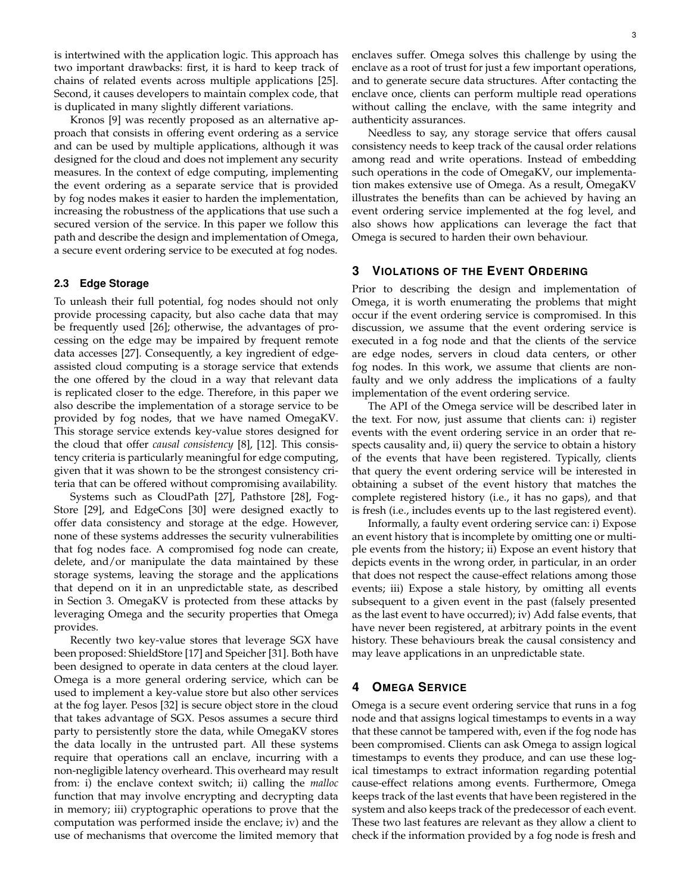is intertwined with the application logic. This approach has two important drawbacks: first, it is hard to keep track of chains of related events across multiple applications [25]. Second, it causes developers to maintain complex code, that is duplicated in many slightly different variations.

Kronos [9] was recently proposed as an alternative approach that consists in offering event ordering as a service and can be used by multiple applications, although it was designed for the cloud and does not implement any security measures. In the context of edge computing, implementing the event ordering as a separate service that is provided by fog nodes makes it easier to harden the implementation, increasing the robustness of the applications that use such a secured version of the service. In this paper we follow this path and describe the design and implementation of Omega, a secure event ordering service to be executed at fog nodes.

## **2.3 Edge Storage**

To unleash their full potential, fog nodes should not only provide processing capacity, but also cache data that may be frequently used [26]; otherwise, the advantages of processing on the edge may be impaired by frequent remote data accesses [27]. Consequently, a key ingredient of edgeassisted cloud computing is a storage service that extends the one offered by the cloud in a way that relevant data is replicated closer to the edge. Therefore, in this paper we also describe the implementation of a storage service to be provided by fog nodes, that we have named OmegaKV. This storage service extends key-value stores designed for the cloud that offer *causal consistency* [8], [12]. This consistency criteria is particularly meaningful for edge computing, given that it was shown to be the strongest consistency criteria that can be offered without compromising availability.

Systems such as CloudPath [27], Pathstore [28], Fog-Store [29], and EdgeCons [30] were designed exactly to offer data consistency and storage at the edge. However, none of these systems addresses the security vulnerabilities that fog nodes face. A compromised fog node can create, delete, and/or manipulate the data maintained by these storage systems, leaving the storage and the applications that depend on it in an unpredictable state, as described in Section 3. OmegaKV is protected from these attacks by leveraging Omega and the security properties that Omega provides.

Recently two key-value stores that leverage SGX have been proposed: ShieldStore [17] and Speicher [31]. Both have been designed to operate in data centers at the cloud layer. Omega is a more general ordering service, which can be used to implement a key-value store but also other services at the fog layer. Pesos [32] is secure object store in the cloud that takes advantage of SGX. Pesos assumes a secure third party to persistently store the data, while OmegaKV stores the data locally in the untrusted part. All these systems require that operations call an enclave, incurring with a non-negligible latency overheard. This overheard may result from: i) the enclave context switch; ii) calling the *malloc* function that may involve encrypting and decrypting data in memory; iii) cryptographic operations to prove that the computation was performed inside the enclave; iv) and the use of mechanisms that overcome the limited memory that

enclaves suffer. Omega solves this challenge by using the enclave as a root of trust for just a few important operations, and to generate secure data structures. After contacting the enclave once, clients can perform multiple read operations without calling the enclave, with the same integrity and authenticity assurances.

Needless to say, any storage service that offers causal consistency needs to keep track of the causal order relations among read and write operations. Instead of embedding such operations in the code of OmegaKV, our implementation makes extensive use of Omega. As a result, OmegaKV illustrates the benefits than can be achieved by having an event ordering service implemented at the fog level, and also shows how applications can leverage the fact that Omega is secured to harden their own behaviour.

## **3 VIOLATIONS OF THE EVENT ORDERING**

Prior to describing the design and implementation of Omega, it is worth enumerating the problems that might occur if the event ordering service is compromised. In this discussion, we assume that the event ordering service is executed in a fog node and that the clients of the service are edge nodes, servers in cloud data centers, or other fog nodes. In this work, we assume that clients are nonfaulty and we only address the implications of a faulty implementation of the event ordering service.

The API of the Omega service will be described later in the text. For now, just assume that clients can: i) register events with the event ordering service in an order that respects causality and, ii) query the service to obtain a history of the events that have been registered. Typically, clients that query the event ordering service will be interested in obtaining a subset of the event history that matches the complete registered history (i.e., it has no gaps), and that is fresh (i.e., includes events up to the last registered event).

Informally, a faulty event ordering service can: i) Expose an event history that is incomplete by omitting one or multiple events from the history; ii) Expose an event history that depicts events in the wrong order, in particular, in an order that does not respect the cause-effect relations among those events; iii) Expose a stale history, by omitting all events subsequent to a given event in the past (falsely presented as the last event to have occurred); iv) Add false events, that have never been registered, at arbitrary points in the event history. These behaviours break the causal consistency and may leave applications in an unpredictable state.

# **4 OMEGA SERVICE**

Omega is a secure event ordering service that runs in a fog node and that assigns logical timestamps to events in a way that these cannot be tampered with, even if the fog node has been compromised. Clients can ask Omega to assign logical timestamps to events they produce, and can use these logical timestamps to extract information regarding potential cause-effect relations among events. Furthermore, Omega keeps track of the last events that have been registered in the system and also keeps track of the predecessor of each event. These two last features are relevant as they allow a client to check if the information provided by a fog node is fresh and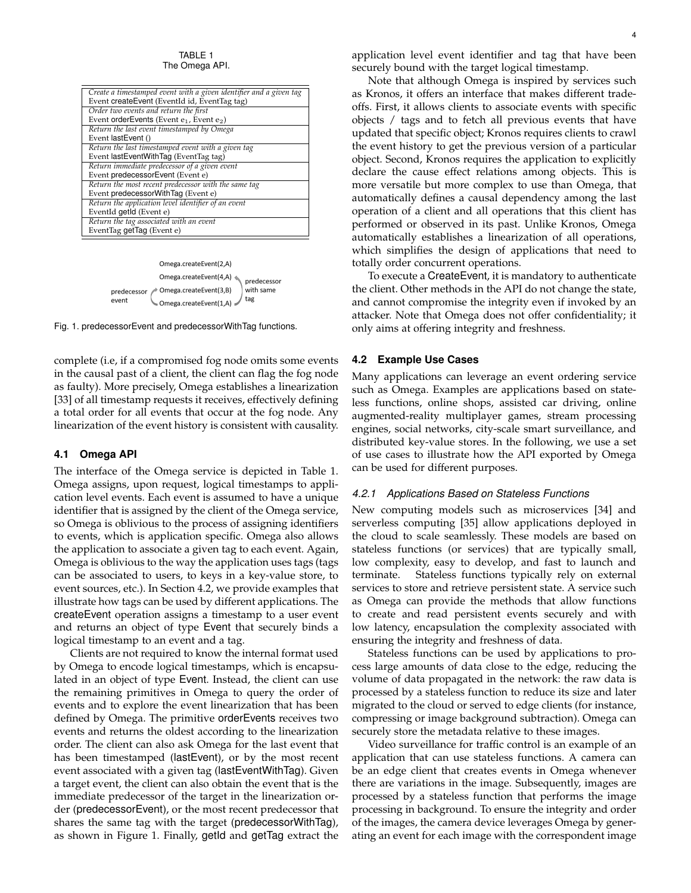#### TABLE 1 The Omega API.

| Create a timestamped event with a given identifier and a given tag |  |  |  |  |
|--------------------------------------------------------------------|--|--|--|--|
| Event createEvent (EventId id, EventTag tag)                       |  |  |  |  |
| Order two events and return the first                              |  |  |  |  |
| Event orderEvents (Event $e_1$ , Event $e_2$ )                     |  |  |  |  |
| Return the last event timestamped by Omega                         |  |  |  |  |
| Event lastEvent ()                                                 |  |  |  |  |
| Return the last timestamped event with a given tag                 |  |  |  |  |
| Event lastEventWithTag (EventTag tag)                              |  |  |  |  |
| Return immediate predecessor of a given event                      |  |  |  |  |
| Event predecessorEvent (Event e)                                   |  |  |  |  |
| Return the most recent predecessor with the same tag               |  |  |  |  |
| Event predecessorWithTag (Event e)                                 |  |  |  |  |
| Return the application level identifier of an event                |  |  |  |  |
| EventId getId (Event e)                                            |  |  |  |  |
| Return the tag associated with an event                            |  |  |  |  |
| EventTag getTag (Event e)                                          |  |  |  |  |
|                                                                    |  |  |  |  |

Omega.createEvent(2.A) Omega.createEvent(4.A) predecessor → Omega.createEvent(3,B) with same predecessor tag Omega.createEvent(1.A)

Fig. 1. predecessorEvent and predecessorWithTag functions.

complete (i.e, if a compromised fog node omits some events in the causal past of a client, the client can flag the fog node as faulty). More precisely, Omega establishes a linearization [33] of all timestamp requests it receives, effectively defining a total order for all events that occur at the fog node. Any linearization of the event history is consistent with causality.

#### **4.1 Omega API**

The interface of the Omega service is depicted in Table 1. Omega assigns, upon request, logical timestamps to application level events. Each event is assumed to have a unique identifier that is assigned by the client of the Omega service, so Omega is oblivious to the process of assigning identifiers to events, which is application specific. Omega also allows the application to associate a given tag to each event. Again, Omega is oblivious to the way the application uses tags (tags can be associated to users, to keys in a key-value store, to event sources, etc.). In Section 4.2, we provide examples that illustrate how tags can be used by different applications. The createEvent operation assigns a timestamp to a user event and returns an object of type Event that securely binds a logical timestamp to an event and a tag.

Clients are not required to know the internal format used by Omega to encode logical timestamps, which is encapsulated in an object of type Event. Instead, the client can use the remaining primitives in Omega to query the order of events and to explore the event linearization that has been defined by Omega. The primitive orderEvents receives two events and returns the oldest according to the linearization order. The client can also ask Omega for the last event that has been timestamped (lastEvent), or by the most recent event associated with a given tag (lastEventWithTag). Given a target event, the client can also obtain the event that is the immediate predecessor of the target in the linearization order (predecessorEvent), or the most recent predecessor that shares the same tag with the target (predecessorWithTag), as shown in Figure 1. Finally, getId and getTag extract the

application level event identifier and tag that have been securely bound with the target logical timestamp.

Note that although Omega is inspired by services such as Kronos, it offers an interface that makes different tradeoffs. First, it allows clients to associate events with specific objects / tags and to fetch all previous events that have updated that specific object; Kronos requires clients to crawl the event history to get the previous version of a particular object. Second, Kronos requires the application to explicitly declare the cause effect relations among objects. This is more versatile but more complex to use than Omega, that automatically defines a causal dependency among the last operation of a client and all operations that this client has performed or observed in its past. Unlike Kronos, Omega automatically establishes a linearization of all operations, which simplifies the design of applications that need to totally order concurrent operations.

To execute a CreateEvent, it is mandatory to authenticate the client. Other methods in the API do not change the state, and cannot compromise the integrity even if invoked by an attacker. Note that Omega does not offer confidentiality; it only aims at offering integrity and freshness.

# **4.2 Example Use Cases**

Many applications can leverage an event ordering service such as Omega. Examples are applications based on stateless functions, online shops, assisted car driving, online augmented-reality multiplayer games, stream processing engines, social networks, city-scale smart surveillance, and distributed key-value stores. In the following, we use a set of use cases to illustrate how the API exported by Omega can be used for different purposes.

#### *4.2.1 Applications Based on Stateless Functions*

New computing models such as microservices [34] and serverless computing [35] allow applications deployed in the cloud to scale seamlessly. These models are based on stateless functions (or services) that are typically small, low complexity, easy to develop, and fast to launch and terminate. Stateless functions typically rely on external services to store and retrieve persistent state. A service such as Omega can provide the methods that allow functions to create and read persistent events securely and with low latency, encapsulation the complexity associated with ensuring the integrity and freshness of data.

Stateless functions can be used by applications to process large amounts of data close to the edge, reducing the volume of data propagated in the network: the raw data is processed by a stateless function to reduce its size and later migrated to the cloud or served to edge clients (for instance, compressing or image background subtraction). Omega can securely store the metadata relative to these images.

Video surveillance for traffic control is an example of an application that can use stateless functions. A camera can be an edge client that creates events in Omega whenever there are variations in the image. Subsequently, images are processed by a stateless function that performs the image processing in background. To ensure the integrity and order of the images, the camera device leverages Omega by generating an event for each image with the correspondent image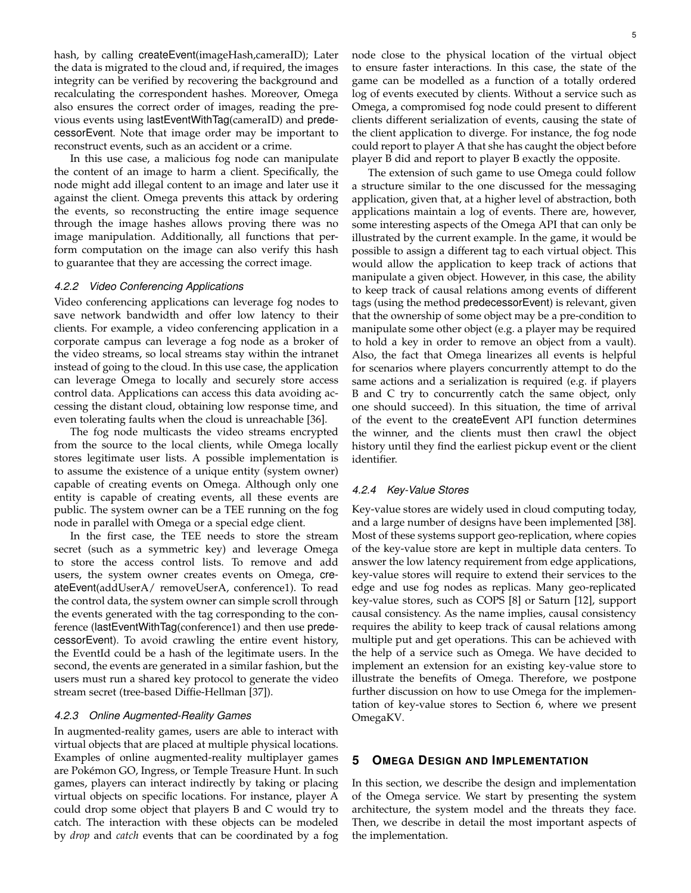hash, by calling createEvent(imageHash,cameraID); Later the data is migrated to the cloud and, if required, the images integrity can be verified by recovering the background and recalculating the correspondent hashes. Moreover, Omega also ensures the correct order of images, reading the previous events using lastEventWithTag(cameraID) and predecessorEvent. Note that image order may be important to reconstruct events, such as an accident or a crime.

In this use case, a malicious fog node can manipulate the content of an image to harm a client. Specifically, the node might add illegal content to an image and later use it against the client. Omega prevents this attack by ordering the events, so reconstructing the entire image sequence through the image hashes allows proving there was no image manipulation. Additionally, all functions that perform computation on the image can also verify this hash to guarantee that they are accessing the correct image.

#### *4.2.2 Video Conferencing Applications*

Video conferencing applications can leverage fog nodes to save network bandwidth and offer low latency to their clients. For example, a video conferencing application in a corporate campus can leverage a fog node as a broker of the video streams, so local streams stay within the intranet instead of going to the cloud. In this use case, the application can leverage Omega to locally and securely store access control data. Applications can access this data avoiding accessing the distant cloud, obtaining low response time, and even tolerating faults when the cloud is unreachable [36].

The fog node multicasts the video streams encrypted from the source to the local clients, while Omega locally stores legitimate user lists. A possible implementation is to assume the existence of a unique entity (system owner) capable of creating events on Omega. Although only one entity is capable of creating events, all these events are public. The system owner can be a TEE running on the fog node in parallel with Omega or a special edge client.

In the first case, the TEE needs to store the stream secret (such as a symmetric key) and leverage Omega to store the access control lists. To remove and add users, the system owner creates events on Omega, createEvent(addUserA/ removeUserA, conference1). To read the control data, the system owner can simple scroll through the events generated with the tag corresponding to the conference (lastEventWithTag(conference1) and then use predecessorEvent). To avoid crawling the entire event history, the EventId could be a hash of the legitimate users. In the second, the events are generated in a similar fashion, but the users must run a shared key protocol to generate the video stream secret (tree-based Diffie-Hellman [37]).

#### *4.2.3 Online Augmented-Reality Games*

In augmented-reality games, users are able to interact with virtual objects that are placed at multiple physical locations. Examples of online augmented-reality multiplayer games are Pokemon GO, Ingress, or Temple Treasure Hunt. In such ´ games, players can interact indirectly by taking or placing virtual objects on specific locations. For instance, player A could drop some object that players B and C would try to catch. The interaction with these objects can be modeled by *drop* and *catch* events that can be coordinated by a fog node close to the physical location of the virtual object to ensure faster interactions. In this case, the state of the game can be modelled as a function of a totally ordered log of events executed by clients. Without a service such as Omega, a compromised fog node could present to different clients different serialization of events, causing the state of the client application to diverge. For instance, the fog node could report to player A that she has caught the object before player B did and report to player B exactly the opposite.

The extension of such game to use Omega could follow a structure similar to the one discussed for the messaging application, given that, at a higher level of abstraction, both applications maintain a log of events. There are, however, some interesting aspects of the Omega API that can only be illustrated by the current example. In the game, it would be possible to assign a different tag to each virtual object. This would allow the application to keep track of actions that manipulate a given object. However, in this case, the ability to keep track of causal relations among events of different tags (using the method predecessorEvent) is relevant, given that the ownership of some object may be a pre-condition to manipulate some other object (e.g. a player may be required to hold a key in order to remove an object from a vault). Also, the fact that Omega linearizes all events is helpful for scenarios where players concurrently attempt to do the same actions and a serialization is required (e.g. if players B and C try to concurrently catch the same object, only one should succeed). In this situation, the time of arrival of the event to the createEvent API function determines the winner, and the clients must then crawl the object history until they find the earliest pickup event or the client identifier.

#### *4.2.4 Key-Value Stores*

Key-value stores are widely used in cloud computing today, and a large number of designs have been implemented [38]. Most of these systems support geo-replication, where copies of the key-value store are kept in multiple data centers. To answer the low latency requirement from edge applications, key-value stores will require to extend their services to the edge and use fog nodes as replicas. Many geo-replicated key-value stores, such as COPS [8] or Saturn [12], support causal consistency. As the name implies, causal consistency requires the ability to keep track of causal relations among multiple put and get operations. This can be achieved with the help of a service such as Omega. We have decided to implement an extension for an existing key-value store to illustrate the benefits of Omega. Therefore, we postpone further discussion on how to use Omega for the implementation of key-value stores to Section 6, where we present OmegaKV.

## **5 OMEGA DESIGN AND IMPLEMENTATION**

In this section, we describe the design and implementation of the Omega service. We start by presenting the system architecture, the system model and the threats they face. Then, we describe in detail the most important aspects of the implementation.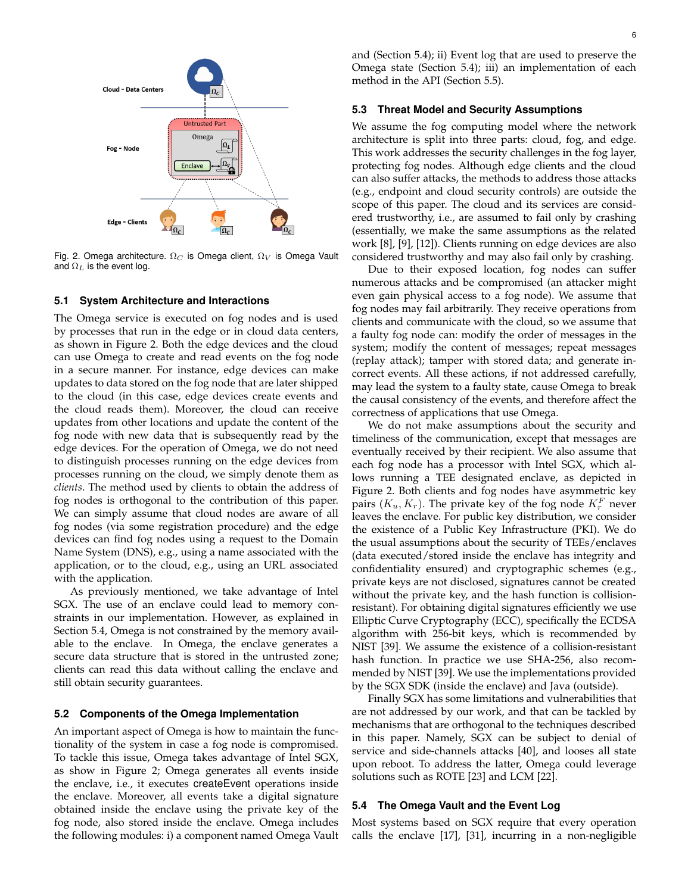

Fig. 2. Omega architecture.  $\Omega_C$  is Omega client,  $\Omega_V$  is Omega Vault and  $\Omega_L$  is the event log.

## **5.1 System Architecture and Interactions**

The Omega service is executed on fog nodes and is used by processes that run in the edge or in cloud data centers, as shown in Figure 2. Both the edge devices and the cloud can use Omega to create and read events on the fog node in a secure manner. For instance, edge devices can make updates to data stored on the fog node that are later shipped to the cloud (in this case, edge devices create events and the cloud reads them). Moreover, the cloud can receive updates from other locations and update the content of the fog node with new data that is subsequently read by the edge devices. For the operation of Omega, we do not need to distinguish processes running on the edge devices from processes running on the cloud, we simply denote them as *clients*. The method used by clients to obtain the address of fog nodes is orthogonal to the contribution of this paper. We can simply assume that cloud nodes are aware of all fog nodes (via some registration procedure) and the edge devices can find fog nodes using a request to the Domain Name System (DNS), e.g., using a name associated with the application, or to the cloud, e.g., using an URL associated with the application.

As previously mentioned, we take advantage of Intel SGX. The use of an enclave could lead to memory constraints in our implementation. However, as explained in Section 5.4, Omega is not constrained by the memory available to the enclave. In Omega, the enclave generates a secure data structure that is stored in the untrusted zone; clients can read this data without calling the enclave and still obtain security guarantees.

#### **5.2 Components of the Omega Implementation**

An important aspect of Omega is how to maintain the functionality of the system in case a fog node is compromised. To tackle this issue, Omega takes advantage of Intel SGX, as show in Figure 2; Omega generates all events inside the enclave, i.e., it executes createEvent operations inside the enclave. Moreover, all events take a digital signature obtained inside the enclave using the private key of the fog node, also stored inside the enclave. Omega includes the following modules: i) a component named Omega Vault

# **5.3 Threat Model and Security Assumptions**

We assume the fog computing model where the network architecture is split into three parts: cloud, fog, and edge. This work addresses the security challenges in the fog layer, protecting fog nodes. Although edge clients and the cloud can also suffer attacks, the methods to address those attacks (e.g., endpoint and cloud security controls) are outside the scope of this paper. The cloud and its services are considered trustworthy, i.e., are assumed to fail only by crashing (essentially, we make the same assumptions as the related work [8], [9], [12]). Clients running on edge devices are also considered trustworthy and may also fail only by crashing.

Due to their exposed location, fog nodes can suffer numerous attacks and be compromised (an attacker might even gain physical access to a fog node). We assume that fog nodes may fail arbitrarily. They receive operations from clients and communicate with the cloud, so we assume that a faulty fog node can: modify the order of messages in the system; modify the content of messages; repeat messages (replay attack); tamper with stored data; and generate incorrect events. All these actions, if not addressed carefully, may lead the system to a faulty state, cause Omega to break the causal consistency of the events, and therefore affect the correctness of applications that use Omega.

We do not make assumptions about the security and timeliness of the communication, except that messages are eventually received by their recipient. We also assume that each fog node has a processor with Intel SGX, which allows running a TEE designated enclave, as depicted in Figure 2. Both clients and fog nodes have asymmetric key pairs  $(K_u, K_r)$ . The private key of the fog node  $K_r^F$  never leaves the enclave. For public key distribution, we consider the existence of a Public Key Infrastructure (PKI). We do the usual assumptions about the security of TEEs/enclaves (data executed/stored inside the enclave has integrity and confidentiality ensured) and cryptographic schemes (e.g., private keys are not disclosed, signatures cannot be created without the private key, and the hash function is collisionresistant). For obtaining digital signatures efficiently we use Elliptic Curve Cryptography (ECC), specifically the ECDSA algorithm with 256-bit keys, which is recommended by NIST [39]. We assume the existence of a collision-resistant hash function. In practice we use SHA-256, also recommended by NIST [39]. We use the implementations provided by the SGX SDK (inside the enclave) and Java (outside).

Finally SGX has some limitations and vulnerabilities that are not addressed by our work, and that can be tackled by mechanisms that are orthogonal to the techniques described in this paper. Namely, SGX can be subject to denial of service and side-channels attacks [40], and looses all state upon reboot. To address the latter, Omega could leverage solutions such as ROTE [23] and LCM [22].

# **5.4 The Omega Vault and the Event Log**

Most systems based on SGX require that every operation calls the enclave [17], [31], incurring in a non-negligible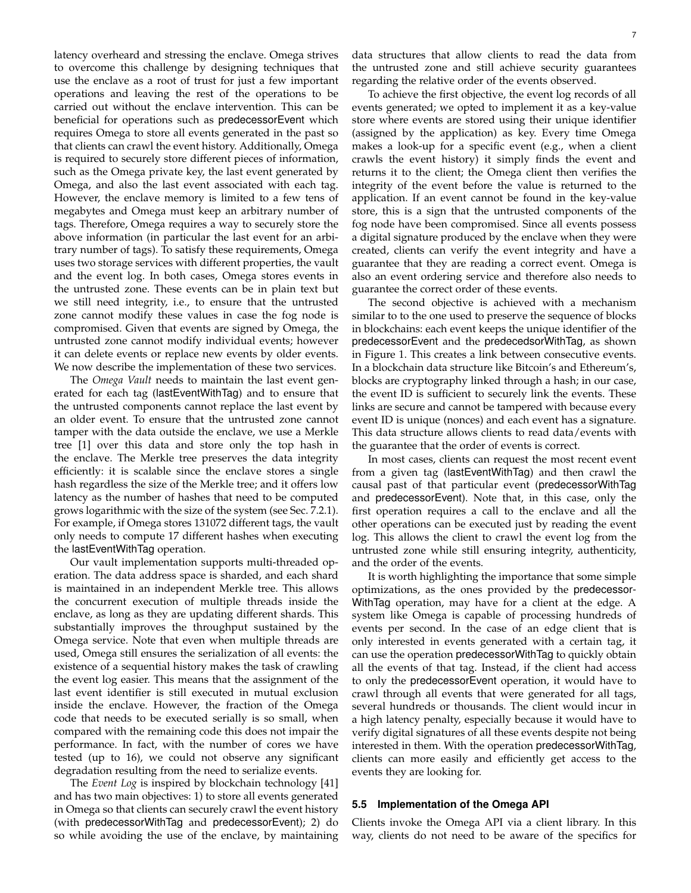latency overheard and stressing the enclave. Omega strives to overcome this challenge by designing techniques that use the enclave as a root of trust for just a few important operations and leaving the rest of the operations to be carried out without the enclave intervention. This can be beneficial for operations such as predecessorEvent which requires Omega to store all events generated in the past so that clients can crawl the event history. Additionally, Omega is required to securely store different pieces of information, such as the Omega private key, the last event generated by Omega, and also the last event associated with each tag. However, the enclave memory is limited to a few tens of megabytes and Omega must keep an arbitrary number of tags. Therefore, Omega requires a way to securely store the above information (in particular the last event for an arbitrary number of tags). To satisfy these requirements, Omega uses two storage services with different properties, the vault and the event log. In both cases, Omega stores events in the untrusted zone. These events can be in plain text but we still need integrity, i.e., to ensure that the untrusted zone cannot modify these values in case the fog node is compromised. Given that events are signed by Omega, the untrusted zone cannot modify individual events; however it can delete events or replace new events by older events. We now describe the implementation of these two services.

The *Omega Vault* needs to maintain the last event generated for each tag (lastEventWithTag) and to ensure that the untrusted components cannot replace the last event by an older event. To ensure that the untrusted zone cannot tamper with the data outside the enclave, we use a Merkle tree [1] over this data and store only the top hash in the enclave. The Merkle tree preserves the data integrity efficiently: it is scalable since the enclave stores a single hash regardless the size of the Merkle tree; and it offers low latency as the number of hashes that need to be computed grows logarithmic with the size of the system (see Sec. 7.2.1). For example, if Omega stores 131072 different tags, the vault only needs to compute 17 different hashes when executing the lastEventWithTag operation.

Our vault implementation supports multi-threaded operation. The data address space is sharded, and each shard is maintained in an independent Merkle tree. This allows the concurrent execution of multiple threads inside the enclave, as long as they are updating different shards. This substantially improves the throughput sustained by the Omega service. Note that even when multiple threads are used, Omega still ensures the serialization of all events: the existence of a sequential history makes the task of crawling the event log easier. This means that the assignment of the last event identifier is still executed in mutual exclusion inside the enclave. However, the fraction of the Omega code that needs to be executed serially is so small, when compared with the remaining code this does not impair the performance. In fact, with the number of cores we have tested (up to 16), we could not observe any significant degradation resulting from the need to serialize events.

The *Event Log* is inspired by blockchain technology [41] and has two main objectives: 1) to store all events generated in Omega so that clients can securely crawl the event history (with predecessorWithTag and predecessorEvent); 2) do so while avoiding the use of the enclave, by maintaining data structures that allow clients to read the data from the untrusted zone and still achieve security guarantees regarding the relative order of the events observed.

To achieve the first objective, the event log records of all events generated; we opted to implement it as a key-value store where events are stored using their unique identifier (assigned by the application) as key. Every time Omega makes a look-up for a specific event (e.g., when a client crawls the event history) it simply finds the event and returns it to the client; the Omega client then verifies the integrity of the event before the value is returned to the application. If an event cannot be found in the key-value store, this is a sign that the untrusted components of the fog node have been compromised. Since all events possess a digital signature produced by the enclave when they were created, clients can verify the event integrity and have a guarantee that they are reading a correct event. Omega is also an event ordering service and therefore also needs to guarantee the correct order of these events.

The second objective is achieved with a mechanism similar to to the one used to preserve the sequence of blocks in blockchains: each event keeps the unique identifier of the predecessorEvent and the predecedsorWithTag, as shown in Figure 1. This creates a link between consecutive events. In a blockchain data structure like Bitcoin's and Ethereum's, blocks are cryptography linked through a hash; in our case, the event ID is sufficient to securely link the events. These links are secure and cannot be tampered with because every event ID is unique (nonces) and each event has a signature. This data structure allows clients to read data/events with the guarantee that the order of events is correct.

In most cases, clients can request the most recent event from a given tag (lastEventWithTag) and then crawl the causal past of that particular event (predecessorWithTag and predecessorEvent). Note that, in this case, only the first operation requires a call to the enclave and all the other operations can be executed just by reading the event log. This allows the client to crawl the event log from the untrusted zone while still ensuring integrity, authenticity, and the order of the events.

It is worth highlighting the importance that some simple optimizations, as the ones provided by the predecessor-WithTag operation, may have for a client at the edge. A system like Omega is capable of processing hundreds of events per second. In the case of an edge client that is only interested in events generated with a certain tag, it can use the operation predecessorWithTag to quickly obtain all the events of that tag. Instead, if the client had access to only the predecessorEvent operation, it would have to crawl through all events that were generated for all tags, several hundreds or thousands. The client would incur in a high latency penalty, especially because it would have to verify digital signatures of all these events despite not being interested in them. With the operation predecessorWithTag, clients can more easily and efficiently get access to the events they are looking for.

## **5.5 Implementation of the Omega API**

Clients invoke the Omega API via a client library. In this way, clients do not need to be aware of the specifics for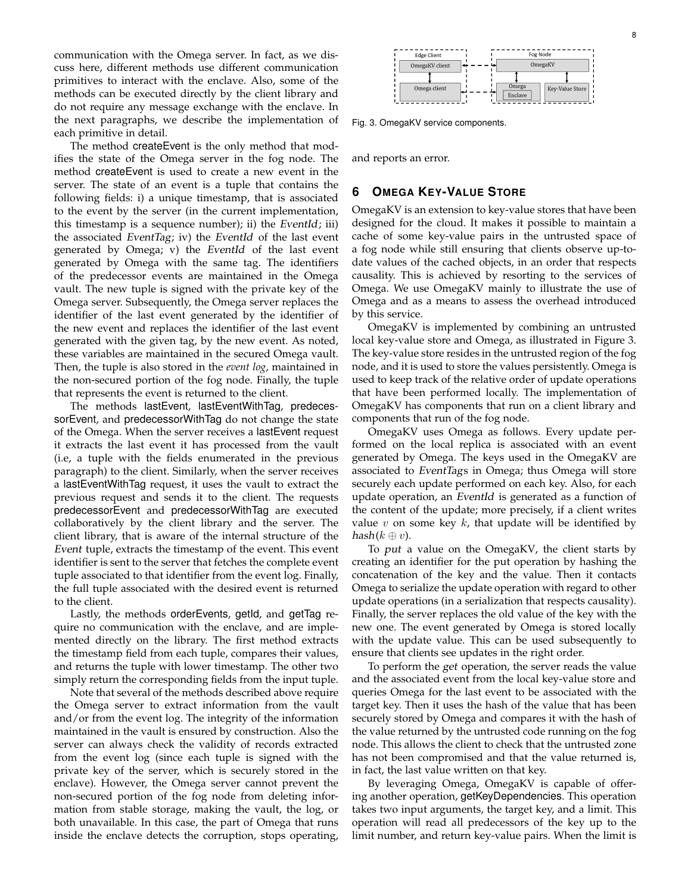communication with the Omega server. In fact, as we discuss here, different methods use different communication primitives to interact with the enclave. Also, some of the methods can be executed directly by the client library and do not require any message exchange with the enclave. In the next paragraphs, we describe the implementation of each primitive in detail.

The method createEvent is the only method that modifies the state of the Omega server in the fog node. The method createEvent is used to create a new event in the server. The state of an event is a tuple that contains the following fields: i) a unique timestamp, that is associated to the event by the server (in the current implementation, this timestamp is a sequence number); ii) the  $EventId$ ; iii) the associated EventTag; iv) the EventId of the last event generated by Omega; v) the EventId of the last event generated by Omega with the same tag. The identifiers of the predecessor events are maintained in the Omega vault. The new tuple is signed with the private key of the Omega server. Subsequently, the Omega server replaces the identifier of the last event generated by the identifier of the new event and replaces the identifier of the last event generated with the given tag, by the new event. As noted, these variables are maintained in the secured Omega vault. Then, the tuple is also stored in the *event log*, maintained in the non-secured portion of the fog node. Finally, the tuple that represents the event is returned to the client.

The methods lastEvent, lastEventWithTag, predecessorEvent, and predecessorWithTag do not change the state of the Omega. When the server receives a lastEvent request it extracts the last event it has processed from the vault (i.e, a tuple with the fields enumerated in the previous paragraph) to the client. Similarly, when the server receives a lastEventWithTag request, it uses the vault to extract the previous request and sends it to the client. The requests predecessorEvent and predecessorWithTag are executed collaboratively by the client library and the server. The client library, that is aware of the internal structure of the Event tuple, extracts the timestamp of the event. This event identifier is sent to the server that fetches the complete event tuple associated to that identifier from the event log. Finally, the full tuple associated with the desired event is returned to the client.

Lastly, the methods orderEvents, getId, and getTag require no communication with the enclave, and are implemented directly on the library. The first method extracts the timestamp field from each tuple, compares their values, and returns the tuple with lower timestamp. The other two simply return the corresponding fields from the input tuple.

Note that several of the methods described above require the Omega server to extract information from the vault and/or from the event log. The integrity of the information maintained in the vault is ensured by construction. Also the server can always check the validity of records extracted from the event log (since each tuple is signed with the private key of the server, which is securely stored in the enclave). However, the Omega server cannot prevent the non-secured portion of the fog node from deleting information from stable storage, making the vault, the log, or both unavailable. In this case, the part of Omega that runs inside the enclave detects the corruption, stops operating,



Fig. 3. OmegaKV service components.

and reports an error.

# **6 OMEGA KEY-VALUE STORE**

OmegaKV is an extension to key-value stores that have been designed for the cloud. It makes it possible to maintain a cache of some key-value pairs in the untrusted space of a fog node while still ensuring that clients observe up-todate values of the cached objects, in an order that respects causality. This is achieved by resorting to the services of Omega. We use OmegaKV mainly to illustrate the use of Omega and as a means to assess the overhead introduced by this service.

OmegaKV is implemented by combining an untrusted local key-value store and Omega, as illustrated in Figure 3. The key-value store resides in the untrusted region of the fog node, and it is used to store the values persistently. Omega is used to keep track of the relative order of update operations that have been performed locally. The implementation of OmegaKV has components that run on a client library and components that run of the fog node.

OmegaKV uses Omega as follows. Every update performed on the local replica is associated with an event generated by Omega. The keys used in the OmegaKV are associated to EventTags in Omega; thus Omega will store securely each update performed on each key. Also, for each update operation, an EventId is generated as a function of the content of the update; more precisely, if a client writes value  $v$  on some key  $k$ , that update will be identified by hash $(k \oplus v)$ .

To put a value on the OmegaKV, the client starts by creating an identifier for the put operation by hashing the concatenation of the key and the value. Then it contacts Omega to serialize the update operation with regard to other update operations (in a serialization that respects causality). Finally, the server replaces the old value of the key with the new one. The event generated by Omega is stored locally with the update value. This can be used subsequently to ensure that clients see updates in the right order.

To perform the get operation, the server reads the value and the associated event from the local key-value store and queries Omega for the last event to be associated with the target key. Then it uses the hash of the value that has been securely stored by Omega and compares it with the hash of the value returned by the untrusted code running on the fog node. This allows the client to check that the untrusted zone has not been compromised and that the value returned is, in fact, the last value written on that key.

By leveraging Omega, OmegaKV is capable of offering another operation, getKeyDependencies. This operation takes two input arguments, the target key, and a limit. This operation will read all predecessors of the key up to the limit number, and return key-value pairs. When the limit is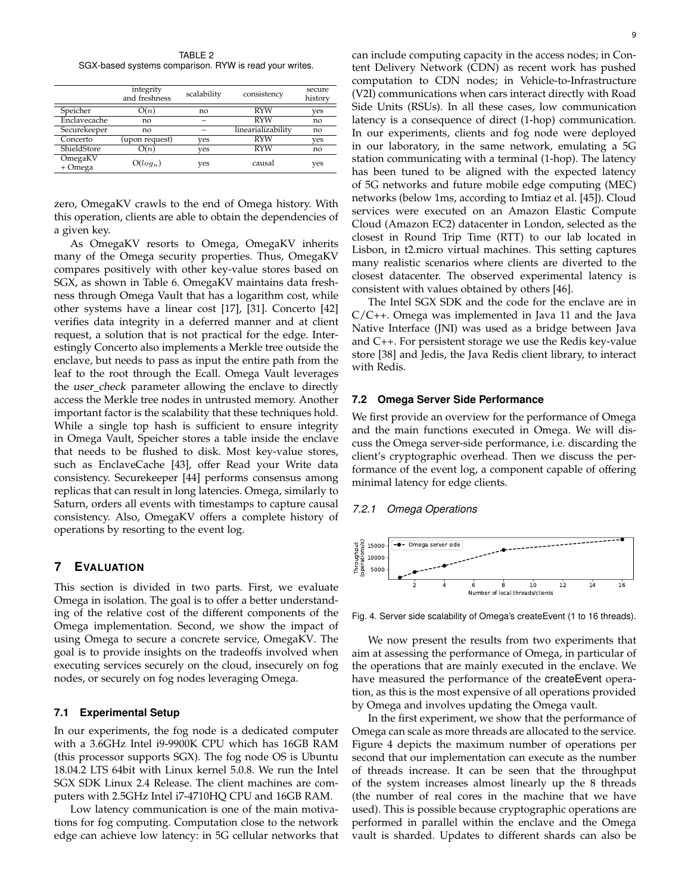TABLE<sub>2</sub> SGX-based systems comparison. RYW is read your writes.

|                    | integrity<br>and freshness | scalability | consistency        | secure<br>history |
|--------------------|----------------------------|-------------|--------------------|-------------------|
| Speicher           | O(n)                       | no          | <b>RYW</b>         | yes               |
| Enclavecache       | no                         |             | <b>RYW</b>         | no                |
| Securekeeper       | no                         |             | linearializability | no                |
| Concerto           | (upon request)             | yes         | <b>RYW</b>         | yes               |
| ShieldStore        | O(n)                       | ves         | RYW                | no                |
| OmegaKV<br>+ Omega | $O(log_n)$                 | yes         | causal             | yes               |

zero, OmegaKV crawls to the end of Omega history. With this operation, clients are able to obtain the dependencies of a given key.

As OmegaKV resorts to Omega, OmegaKV inherits many of the Omega security properties. Thus, OmegaKV compares positively with other key-value stores based on SGX, as shown in Table 6. OmegaKV maintains data freshness through Omega Vault that has a logarithm cost, while other systems have a linear cost [17], [31]. Concerto [42] verifies data integrity in a deferred manner and at client request, a solution that is not practical for the edge. Interestingly Concerto also implements a Merkle tree outside the enclave, but needs to pass as input the entire path from the leaf to the root through the Ecall. Omega Vault leverages the user\_check parameter allowing the enclave to directly access the Merkle tree nodes in untrusted memory. Another important factor is the scalability that these techniques hold. While a single top hash is sufficient to ensure integrity in Omega Vault, Speicher stores a table inside the enclave that needs to be flushed to disk. Most key-value stores, such as EnclaveCache [43], offer Read your Write data consistency. Securekeeper [44] performs consensus among replicas that can result in long latencies. Omega, similarly to Saturn, orders all events with timestamps to capture causal consistency. Also, OmegaKV offers a complete history of operations by resorting to the event log.

# **7 EVALUATION**

This section is divided in two parts. First, we evaluate Omega in isolation. The goal is to offer a better understanding of the relative cost of the different components of the Omega implementation. Second, we show the impact of using Omega to secure a concrete service, OmegaKV. The goal is to provide insights on the tradeoffs involved when executing services securely on the cloud, insecurely on fog nodes, or securely on fog nodes leveraging Omega.

### **7.1 Experimental Setup**

In our experiments, the fog node is a dedicated computer with a 3.6GHz Intel i9-9900K CPU which has 16GB RAM (this processor supports SGX). The fog node OS is Ubuntu 18.04.2 LTS 64bit with Linux kernel 5.0.8. We run the Intel SGX SDK Linux 2.4 Release. The client machines are computers with 2.5GHz Intel i7-4710HQ CPU and 16GB RAM.

Low latency communication is one of the main motivations for fog computing. Computation close to the network edge can achieve low latency: in 5G cellular networks that can include computing capacity in the access nodes; in Content Delivery Network (CDN) as recent work has pushed computation to CDN nodes; in Vehicle-to-Infrastructure (V2I) communications when cars interact directly with Road Side Units (RSUs). In all these cases, low communication latency is a consequence of direct (1-hop) communication. In our experiments, clients and fog node were deployed in our laboratory, in the same network, emulating a 5G station communicating with a terminal (1-hop). The latency has been tuned to be aligned with the expected latency of 5G networks and future mobile edge computing (MEC) networks (below 1ms, according to Imtiaz et al. [45]). Cloud services were executed on an Amazon Elastic Compute Cloud (Amazon EC2) datacenter in London, selected as the closest in Round Trip Time (RTT) to our lab located in Lisbon, in t2.micro virtual machines. This setting captures many realistic scenarios where clients are diverted to the closest datacenter. The observed experimental latency is consistent with values obtained by others [46].

The Intel SGX SDK and the code for the enclave are in C/C++. Omega was implemented in Java 11 and the Java Native Interface (JNI) was used as a bridge between Java and C++. For persistent storage we use the Redis key-value store [38] and Jedis, the Java Redis client library, to interact with Redis.

## **7.2 Omega Server Side Performance**

We first provide an overview for the performance of Omega and the main functions executed in Omega. We will discuss the Omega server-side performance, i.e. discarding the client's cryptographic overhead. Then we discuss the performance of the event log, a component capable of offering minimal latency for edge clients.

# *7.2.1 Omega Operations*



Fig. 4. Server side scalability of Omega's createEvent (1 to 16 threads).

We now present the results from two experiments that aim at assessing the performance of Omega, in particular of the operations that are mainly executed in the enclave. We have measured the performance of the createEvent operation, as this is the most expensive of all operations provided by Omega and involves updating the Omega vault.

In the first experiment, we show that the performance of Omega can scale as more threads are allocated to the service. Figure 4 depicts the maximum number of operations per second that our implementation can execute as the number of threads increase. It can be seen that the throughput of the system increases almost linearly up the 8 threads (the number of real cores in the machine that we have used). This is possible because cryptographic operations are performed in parallel within the enclave and the Omega vault is sharded. Updates to different shards can also be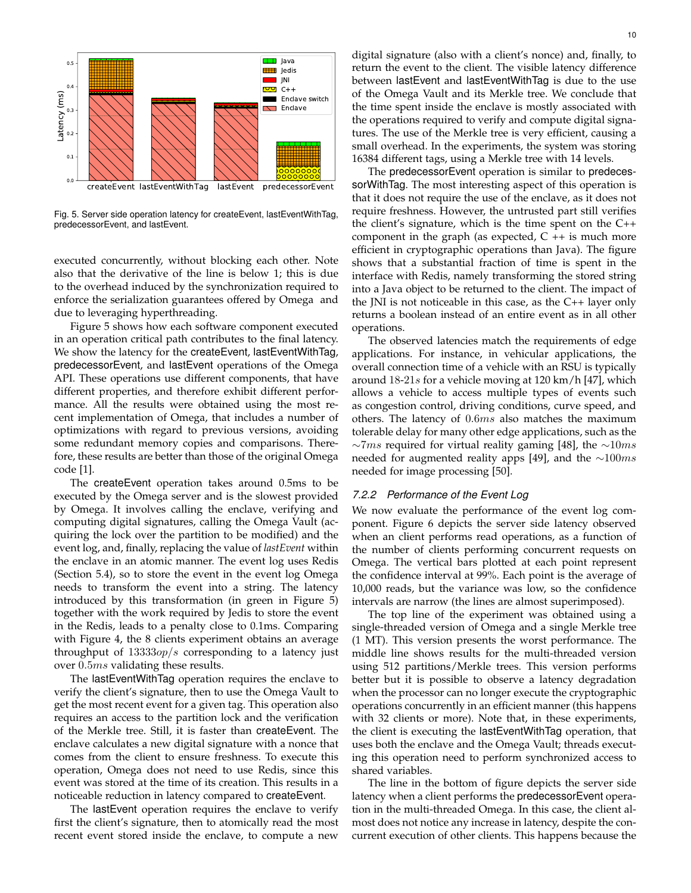

Fig. 5. Server side operation latency for createEvent, lastEventWithTag, predecessorEvent, and lastEvent.

executed concurrently, without blocking each other. Note also that the derivative of the line is below 1; this is due to the overhead induced by the synchronization required to enforce the serialization guarantees offered by Omega and due to leveraging hyperthreading.

Figure 5 shows how each software component executed in an operation critical path contributes to the final latency. We show the latency for the createEvent, lastEventWithTag, predecessorEvent, and lastEvent operations of the Omega API. These operations use different components, that have different properties, and therefore exhibit different performance. All the results were obtained using the most recent implementation of Omega, that includes a number of optimizations with regard to previous versions, avoiding some redundant memory copies and comparisons. Therefore, these results are better than those of the original Omega code [1].

The createEvent operation takes around 0.5ms to be executed by the Omega server and is the slowest provided by Omega. It involves calling the enclave, verifying and computing digital signatures, calling the Omega Vault (acquiring the lock over the partition to be modified) and the event log, and, finally, replacing the value of *lastEvent* within the enclave in an atomic manner. The event log uses Redis (Section 5.4), so to store the event in the event log Omega needs to transform the event into a string. The latency introduced by this transformation (in green in Figure 5) together with the work required by Jedis to store the event in the Redis, leads to a penalty close to 0.1ms. Comparing with Figure 4, the 8 clients experiment obtains an average throughput of  $13333op/s$  corresponding to a latency just over 0.5ms validating these results.

The lastEventWithTag operation requires the enclave to verify the client's signature, then to use the Omega Vault to get the most recent event for a given tag. This operation also requires an access to the partition lock and the verification of the Merkle tree. Still, it is faster than createEvent. The enclave calculates a new digital signature with a nonce that comes from the client to ensure freshness. To execute this operation, Omega does not need to use Redis, since this event was stored at the time of its creation. This results in a noticeable reduction in latency compared to createEvent.

The lastEvent operation requires the enclave to verify first the client's signature, then to atomically read the most recent event stored inside the enclave, to compute a new

digital signature (also with a client's nonce) and, finally, to return the event to the client. The visible latency difference between lastEvent and lastEventWithTag is due to the use of the Omega Vault and its Merkle tree. We conclude that the time spent inside the enclave is mostly associated with the operations required to verify and compute digital signatures. The use of the Merkle tree is very efficient, causing a small overhead. In the experiments, the system was storing 16384 different tags, using a Merkle tree with 14 levels.

The predecessorEvent operation is similar to predecessorWithTag. The most interesting aspect of this operation is that it does not require the use of the enclave, as it does not require freshness. However, the untrusted part still verifies the client's signature, which is the time spent on the C++ component in the graph (as expected,  $C + i$  is much more efficient in cryptographic operations than Java). The figure shows that a substantial fraction of time is spent in the interface with Redis, namely transforming the stored string into a Java object to be returned to the client. The impact of the JNI is not noticeable in this case, as the C++ layer only returns a boolean instead of an entire event as in all other operations.

The observed latencies match the requirements of edge applications. For instance, in vehicular applications, the overall connection time of a vehicle with an RSU is typically around 18-21s for a vehicle moving at 120 km/h [47], which allows a vehicle to access multiple types of events such as congestion control, driving conditions, curve speed, and others. The latency of 0.6ms also matches the maximum tolerable delay for many other edge applications, such as the  $∼7ms$  required for virtual reality gaming [48], the  $∼10ms$ needed for augmented reality apps [49], and the  $\sim 100ms$ needed for image processing [50].

#### *7.2.2 Performance of the Event Log*

We now evaluate the performance of the event log component. Figure 6 depicts the server side latency observed when an client performs read operations, as a function of the number of clients performing concurrent requests on Omega. The vertical bars plotted at each point represent the confidence interval at 99%. Each point is the average of 10,000 reads, but the variance was low, so the confidence intervals are narrow (the lines are almost superimposed).

The top line of the experiment was obtained using a single-threaded version of Omega and a single Merkle tree (1 MT). This version presents the worst performance. The middle line shows results for the multi-threaded version using 512 partitions/Merkle trees. This version performs better but it is possible to observe a latency degradation when the processor can no longer execute the cryptographic operations concurrently in an efficient manner (this happens with 32 clients or more). Note that, in these experiments, the client is executing the lastEventWithTag operation, that uses both the enclave and the Omega Vault; threads executing this operation need to perform synchronized access to shared variables.

The line in the bottom of figure depicts the server side latency when a client performs the predecessorEvent operation in the multi-threaded Omega. In this case, the client almost does not notice any increase in latency, despite the concurrent execution of other clients. This happens because the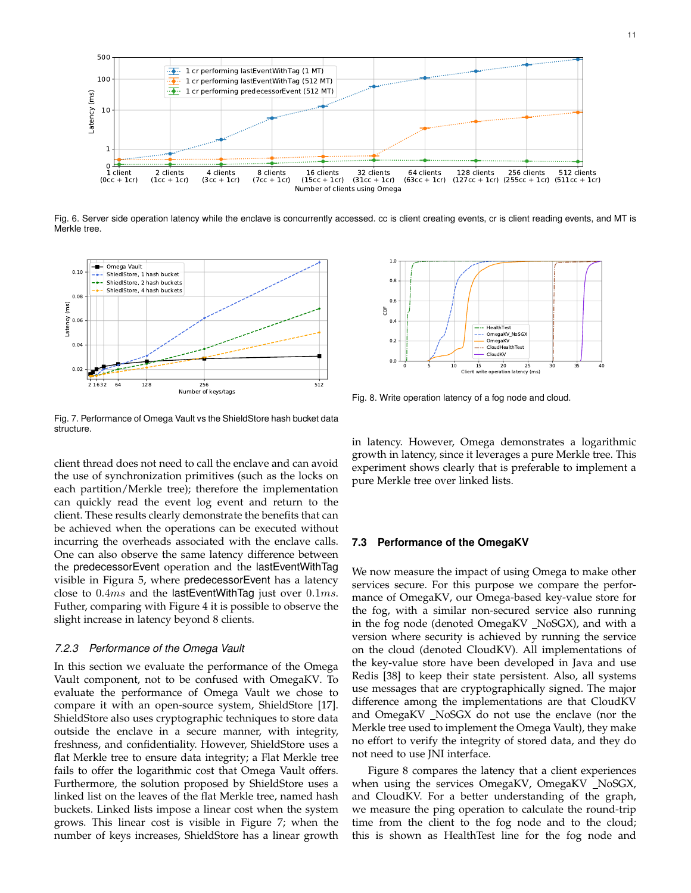

Fig. 6. Server side operation latency while the enclave is concurrently accessed. cc is client creating events, cr is client reading events, and MT is Merkle tree.





Fig. 8. Write operation latency of a fog node and cloud.

Fig. 7. Performance of Omega Vault vs the ShieldStore hash bucket data structure.

client thread does not need to call the enclave and can avoid the use of synchronization primitives (such as the locks on each partition/Merkle tree); therefore the implementation can quickly read the event log event and return to the client. These results clearly demonstrate the benefits that can be achieved when the operations can be executed without incurring the overheads associated with the enclave calls. One can also observe the same latency difference between the predecessorEvent operation and the lastEventWithTag visible in Figura 5, where predecessorEvent has a latency close to  $0.4ms$  and the lastEventWithTag just over  $0.1ms$ . Futher, comparing with Figure 4 it is possible to observe the slight increase in latency beyond 8 clients.

## *7.2.3 Performance of the Omega Vault*

In this section we evaluate the performance of the Omega Vault component, not to be confused with OmegaKV. To evaluate the performance of Omega Vault we chose to compare it with an open-source system, ShieldStore [17]. ShieldStore also uses cryptographic techniques to store data outside the enclave in a secure manner, with integrity, freshness, and confidentiality. However, ShieldStore uses a flat Merkle tree to ensure data integrity; a Flat Merkle tree fails to offer the logarithmic cost that Omega Vault offers. Furthermore, the solution proposed by ShieldStore uses a linked list on the leaves of the flat Merkle tree, named hash buckets. Linked lists impose a linear cost when the system grows. This linear cost is visible in Figure 7; when the number of keys increases, ShieldStore has a linear growth in latency. However, Omega demonstrates a logarithmic growth in latency, since it leverages a pure Merkle tree. This experiment shows clearly that is preferable to implement a pure Merkle tree over linked lists.

# **7.3 Performance of the OmegaKV**

We now measure the impact of using Omega to make other services secure. For this purpose we compare the performance of OmegaKV, our Omega-based key-value store for the fog, with a similar non-secured service also running in the fog node (denoted OmegaKV \_NoSGX), and with a version where security is achieved by running the service on the cloud (denoted CloudKV). All implementations of the key-value store have been developed in Java and use Redis [38] to keep their state persistent. Also, all systems use messages that are cryptographically signed. The major difference among the implementations are that CloudKV and OmegaKV \_NoSGX do not use the enclave (nor the Merkle tree used to implement the Omega Vault), they make no effort to verify the integrity of stored data, and they do not need to use JNI interface.

Figure 8 compares the latency that a client experiences when using the services OmegaKV, OmegaKV \_NoSGX, and CloudKV. For a better understanding of the graph, we measure the ping operation to calculate the round-trip time from the client to the fog node and to the cloud; this is shown as HealthTest line for the fog node and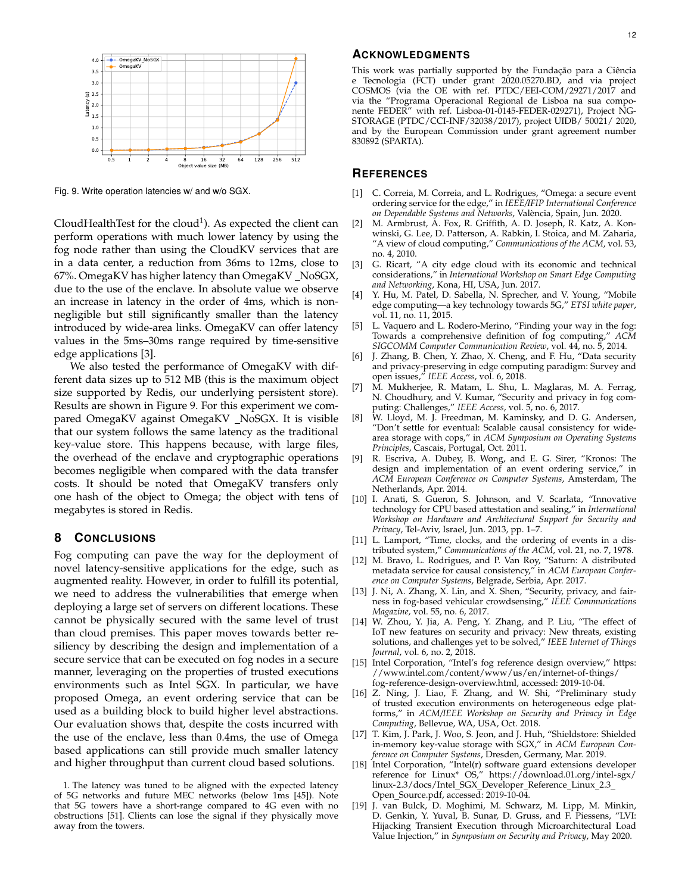

Fig. 9. Write operation latencies w/ and w/o SGX.

CloudHealthTest for the cloud<sup>1</sup>). As expected the client can perform operations with much lower latency by using the fog node rather than using the CloudKV services that are in a data center, a reduction from 36ms to 12ms, close to 67%. OmegaKV has higher latency than OmegaKV\_NoSGX, due to the use of the enclave. In absolute value we observe an increase in latency in the order of 4ms, which is nonnegligible but still significantly smaller than the latency introduced by wide-area links. OmegaKV can offer latency values in the 5ms–30ms range required by time-sensitive edge applications [3].

We also tested the performance of OmegaKV with different data sizes up to 512 MB (this is the maximum object size supported by Redis, our underlying persistent store). Results are shown in Figure 9. For this experiment we compared OmegaKV against OmegaKV \_NoSGX. It is visible that our system follows the same latency as the traditional key-value store. This happens because, with large files, the overhead of the enclave and cryptographic operations becomes negligible when compared with the data transfer costs. It should be noted that OmegaKV transfers only one hash of the object to Omega; the object with tens of megabytes is stored in Redis.

# **8 CONCLUSIONS**

Fog computing can pave the way for the deployment of novel latency-sensitive applications for the edge, such as augmented reality. However, in order to fulfill its potential, we need to address the vulnerabilities that emerge when deploying a large set of servers on different locations. These cannot be physically secured with the same level of trust than cloud premises. This paper moves towards better resiliency by describing the design and implementation of a secure service that can be executed on fog nodes in a secure manner, leveraging on the properties of trusted executions environments such as Intel SGX. In particular, we have proposed Omega, an event ordering service that can be used as a building block to build higher level abstractions. Our evaluation shows that, despite the costs incurred with the use of the enclave, less than 0.4ms, the use of Omega based applications can still provide much smaller latency and higher throughput than current cloud based solutions.

# **ACKNOWLEDGMENTS**

This work was partially supported by the Fundação para a Ciência e Tecnologia (FCT) under grant 2020.05270.BD, and via project COSMOS (via the OE with ref. PTDC/EEI-COM/29271/2017 and via the "Programa Operacional Regional de Lisboa na sua componente FEDER" with ref. Lisboa-01-0145-FEDER-029271), Project NG-STORAGE (PTDC/CCI-INF/32038/2017), project UIDB/ 50021/ 2020, and by the European Commission under grant agreement number 830892 (SPARTA).

# **REFERENCES**

- [1] C. Correia, M. Correia, and L. Rodrigues, "Omega: a secure event ordering service for the edge," in *IEEE/IFIP International Conference on Dependable Systems and Networks*, Valencia, Spain, Jun. 2020. `
- [2] M. Armbrust, A. Fox, R. Griffith, A. D. Joseph, R. Katz, A. Konwinski, G. Lee, D. Patterson, A. Rabkin, I. Stoica, and M. Zaharia, "A view of cloud computing," *Communications of the ACM*, vol. 53, no. 4, 2010.
- [3] G. Ricart, "A city edge cloud with its economic and technical considerations," in *International Workshop on Smart Edge Computing and Networking*, Kona, HI, USA, Jun. 2017.
- [4] Y. Hu, M. Patel, D. Sabella, N. Sprecher, and V. Young, "Mobile edge computing—a key technology towards 5G," *ETSI white paper*, vol. 11, no. 11, 2015.
- [5] L. Vaquero and L. Rodero-Merino, "Finding your way in the fog: Towards a comprehensive definition of fog computing," *ACM SIGCOMM Computer Communication Review*, vol. 44, no. 5, 2014.
- J. Zhang, B. Chen, Y. Zhao, X. Cheng, and F. Hu, "Data security and privacy-preserving in edge computing paradigm: Survey and open issues," *IEEE Access*, vol. 6, 2018.
- [7] M. Mukherjee, R. Matam, L. Shu, L. Maglaras, M. A. Ferrag, N. Choudhury, and V. Kumar, "Security and privacy in fog computing: Challenges," *IEEE Access*, vol. 5, no. 6, 2017.
- [8] W. Lloyd, M. J. Freedman, M. Kaminsky, and D. G. Andersen, "Don't settle for eventual: Scalable causal consistency for widearea storage with cops," in *ACM Symposium on Operating Systems Principles*, Cascais, Portugal, Oct. 2011.
- [9] R. Escriva, A. Dubey, B. Wong, and E. G. Sirer, "Kronos: The design and implementation of an event ordering service," in *ACM European Conference on Computer Systems*, Amsterdam, The Netherlands, Apr. 2014.
- [10] I. Anati, S. Gueron, S. Johnson, and V. Scarlata, "Innovative technology for CPU based attestation and sealing," in *International Workshop on Hardware and Architectural Support for Security and Privacy*, Tel-Aviv, Israel, Jun. 2013, pp. 1–7.
- [11] L. Lamport, "Time, clocks, and the ordering of events in a distributed system," *Communications of the ACM*, vol. 21, no. 7, 1978.
- [12] M. Bravo, L. Rodrigues, and P. Van Roy, "Saturn: A distributed metadata service for causal consistency," in *ACM European Conference on Computer Systems*, Belgrade, Serbia, Apr. 2017.
- [13] J. Ni, A. Zhang, X. Lin, and X. Shen, "Security, privacy, and fairness in fog-based vehicular crowdsensing," *IEEE Communications Magazine*, vol. 55, no. 6, 2017.
- [14] W. Zhou, Y. Jia, A. Peng, Y. Zhang, and P. Liu, "The effect of IoT new features on security and privacy: New threats, existing solutions, and challenges yet to be solved," *IEEE Internet of Things Journal*, vol. 6, no. 2, 2018.
- [15] Intel Corporation, "Intel's fog reference design overview," https: //www.intel.com/content/www/us/en/internet-of-things/ fog-reference-design-overview.html, accessed: 2019-10-04.
- [16] Z. Ning, J. Liao, F. Zhang, and W. Shi, "Preliminary study of trusted execution environments on heterogeneous edge platforms," in *ACM/IEEE Workshop on Security and Privacy in Edge Computing*, Bellevue, WA, USA, Oct. 2018.
- [17] T. Kim, J. Park, J. Woo, S. Jeon, and J. Huh, "Shieldstore: Shielded in-memory key-value storage with SGX," in *ACM European Conference on Computer Systems*, Dresden, Germany, Mar. 2019.
- [18] Intel Corporation, "Intel(r) software guard extensions developer reference for Linux\* OS," https://download.01.org/intel-sgx/ linux-2.3/docs/Intel SGX Developer Reference Linux 2.3 Open Source.pdf, accessed: 2019-10-04.
- [19] J. van Bulck, D. Moghimi, M. Schwarz, M. Lipp, M. Minkin, D. Genkin, Y. Yuval, B. Sunar, D. Gruss, and F. Piessens, "LVI: Hijacking Transient Execution through Microarchitectural Load Value Injection," in *Symposium on Security and Privacy*, May 2020.

<sup>1.</sup> The latency was tuned to be aligned with the expected latency of 5G networks and future MEC networks (below 1ms [45]). Note that 5G towers have a short-range compared to 4G even with no obstructions [51]. Clients can lose the signal if they physically move away from the towers.